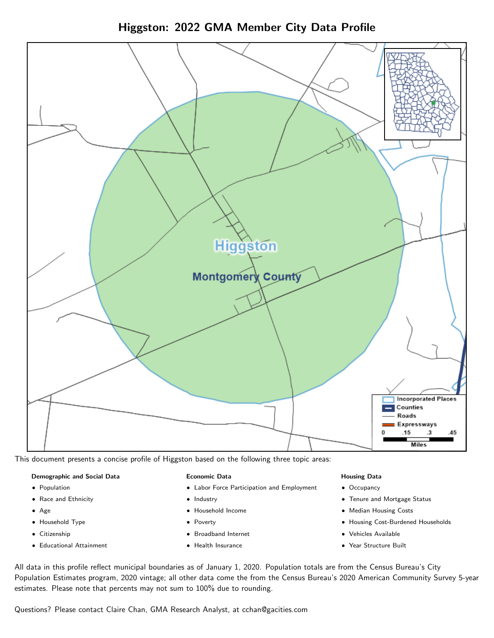Higgston: 2022 GMA Member City Data Profile



This document presents a concise profile of Higgston based on the following three topic areas:

### Demographic and Social Data

- **•** Population
- Race and Ethnicity
- Age
- Household Type
- **Citizenship**
- Educational Attainment

### Economic Data

- Labor Force Participation and Employment
- Industry
- Household Income
- Poverty
- Broadband Internet
- Health Insurance

### Housing Data

- Occupancy
- Tenure and Mortgage Status
- Median Housing Costs
- Housing Cost-Burdened Households
- Vehicles Available
- $\bullet$ Year Structure Built

All data in this profile reflect municipal boundaries as of January 1, 2020. Population totals are from the Census Bureau's City Population Estimates program, 2020 vintage; all other data come the from the Census Bureau's 2020 American Community Survey 5-year estimates. Please note that percents may not sum to 100% due to rounding.

Questions? Please contact Claire Chan, GMA Research Analyst, at [cchan@gacities.com.](mailto:cchan@gacities.com)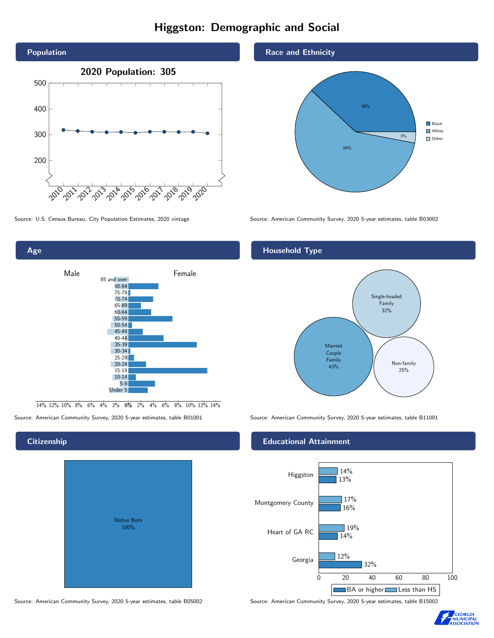# Higgston: Demographic and Social





0% 2% 4% 6% 8% 10% 12% 14% 14% 12% 10% 8% 6% 4% 2%

**Citizenship** 

# Native Born 100%

## Race and Ethnicity



Source: U.S. Census Bureau, City Population Estimates, 2020 vintage Source: American Community Survey, 2020 5-year estimates, table B03002

# Household Type



Source: American Community Survey, 2020 5-year estimates, table B01001 Source: American Community Survey, 2020 5-year estimates, table B11001

## Educational Attainment



Source: American Community Survey, 2020 5-year estimates, table B05002 Source: American Community Survey, 2020 5-year estimates, table B15002

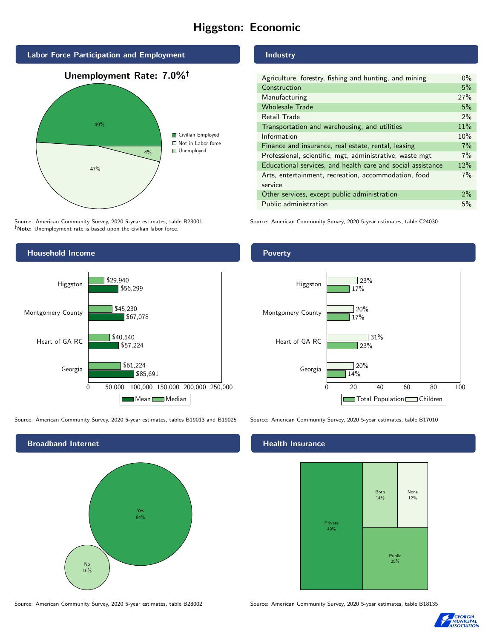# Higgston: Economic



Source: American Community Survey, 2020 5-year estimates, table B23001 Note: Unemployment rate is based upon the civilian labor force.

## **Industry**

| Agriculture, forestry, fishing and hunting, and mining      | $0\%$ |
|-------------------------------------------------------------|-------|
| Construction                                                | 5%    |
| Manufacturing                                               | 27%   |
| <b>Wholesale Trade</b>                                      | 5%    |
| Retail Trade                                                | $2\%$ |
| Transportation and warehousing, and utilities               | 11%   |
| Information                                                 | 10%   |
| Finance and insurance, real estate, rental, leasing         | 7%    |
| Professional, scientific, mgt, administrative, waste mgt    | 7%    |
| Educational services, and health care and social assistance | 12%   |
| Arts, entertainment, recreation, accommodation, food        | 7%    |
| service                                                     |       |
| Other services, except public administration                | 2%    |
| Public administration                                       | 5%    |
|                                                             |       |

Source: American Community Survey, 2020 5-year estimates, table C24030



Source: American Community Survey, 2020 5-year estimates, tables B19013 and B19025 Source: American Community Survey, 2020 5-year estimates, table B17010

Broadband Internet No 16% Yes 84% Poverty



### Health Insurance



Source: American Community Survey, 2020 5-year estimates, table B28002 Source: American Community Survey, 2020 5-year estimates, table B18135